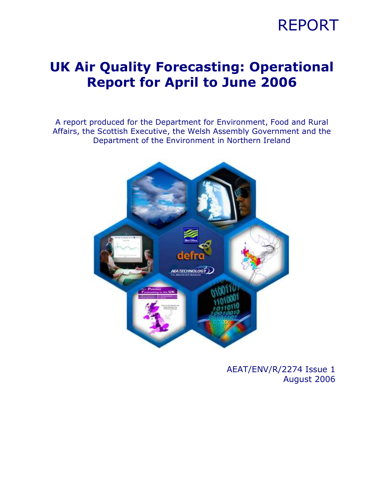

### UK Air Quality Forecasting: Operational Report for April to June 2006

A report produced for the Department for Environment, Food and Rural Affairs, the Scottish Executive, the Welsh Assembly Government and the Department of the Environment in Northern Ireland



AEAT/ENV/R/2274 Issue 1 August 2006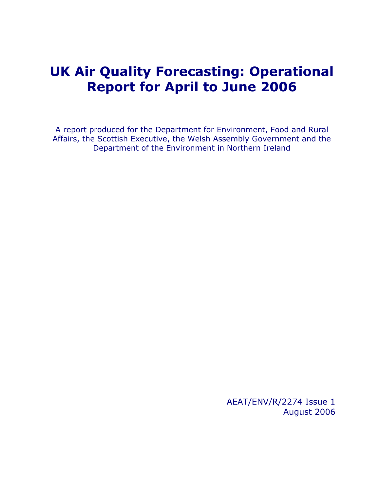### UK Air Quality Forecasting: Operational Report for April to June 2006

A report produced for the Department for Environment, Food and Rural Affairs, the Scottish Executive, the Welsh Assembly Government and the Department of the Environment in Northern Ireland

> AEAT/ENV/R/2274 Issue 1 August 2006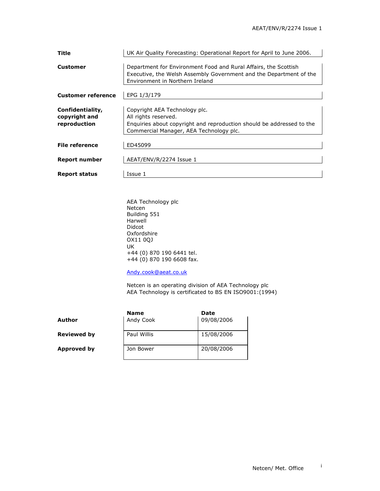| Title                                             | UK Air Quality Forecasting: Operational Report for April to June 2006.                                                                                                    |
|---------------------------------------------------|---------------------------------------------------------------------------------------------------------------------------------------------------------------------------|
| Customer                                          | Department for Environment Food and Rural Affairs, the Scottish<br>Executive, the Welsh Assembly Government and the Department of the<br>Environment in Northern Ireland  |
| <b>Customer reference</b>                         | EPG 1/3/179                                                                                                                                                               |
| Confidentiality,<br>copyright and<br>reproduction | Copyright AEA Technology plc.<br>All rights reserved.<br>Enquiries about copyright and reproduction should be addressed to the<br>Commercial Manager, AEA Technology plc. |
| <b>File reference</b>                             | ED45099                                                                                                                                                                   |
| Report number                                     | AEAT/ENV/R/2274 Issue 1                                                                                                                                                   |
| <b>Report status</b>                              | Issue 1                                                                                                                                                                   |

AEA Technology plc Netcen Building 551 Harwell Didcot Oxfordshire OX11 0QJ UK +44 (0) 870 190 6441 tel.  $+44(0)$  870 190 6608 fax.

Andy.cook@aeat.co.uk

 Netcen is an operating division of AEA Technology plc AEA Technology is certificated to BS EN ISO9001:(1994)

|                    | <b>Name</b> | Date       |
|--------------------|-------------|------------|
| Author             | Andy Cook   | 09/08/2006 |
| <b>Reviewed by</b> | Paul Willis | 15/08/2006 |
| Approved by        | Jon Bower   | 20/08/2006 |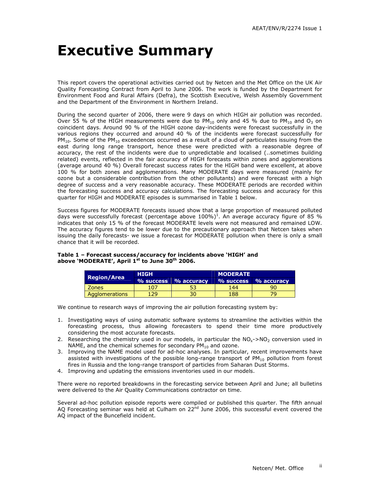## Executive Summary

This report covers the operational activities carried out by Netcen and the Met Office on the UK Air Quality Forecasting Contract from April to June 2006. The work is funded by the Department for Environment Food and Rural Affairs (Defra), the Scottish Executive, Welsh Assembly Government and the Department of the Environment in Northern Ireland.

During the second quarter of 2006, there were 9 days on which HIGH air pollution was recorded. Over 55 % of the HIGH measurements were due to PM<sub>10</sub> only and 45 % due to PM<sub>10</sub> and O<sub>3</sub> on coincident days. Around 90 % of the HIGH ozone day-incidents were forecast successfully in the various regions they occurred and around 40 % of the incidents were forecast successfully for  $PM_{10}$ . Some of the PM<sub>10</sub> exceedences occurred as a result of a cloud of particulates issuing from the east during long range transport, hence these were predicted with a reasonable degree of accuracy, the rest of the incidents were due to unpredictable and localised (..sometimes building related) events, reflected in the fair accuracy of HIGH forecasts within zones and agglomerations (average around 40 %) Overall forecast success rates for the HIGH band were excellent, at above 100 % for both zones and agglomerations. Many MODERATE days were measured (mainly for ozone but a considerable contribution from the other pollutants) and were forecast with a high degree of success and a very reasonable accuracy. These MODERATE periods are recorded within the forecasting success and accuracy calculations. The forecasting success and accuracy for this quarter for HIGH and MODERATE episodes is summarised in Table 1 below.

Success figures for MODERATE forecasts issued show that a large proportion of measured polluted days were successfully forecast (percentage above  $100\%)^1$ . An average accuracy figure of 85 % indicates that only 15 % of the forecast MODERATE levels were not measured and remained LOW. The accuracy figures tend to be lower due to the precautionary approach that Netcen takes when issuing the daily forecasts- we issue a forecast for MODERATE pollution when there is only a small chance that it will be recorded.

#### Table 1 – Forecast success/accuracy for incidents above 'HIGH' and above 'MODERATE', April 1<sup>st</sup> to June 30<sup>th</sup> 2006.

| Region/Area    | <b>HIGH</b> |                      | <b>MODERATE</b> |                            |  |  |  |
|----------------|-------------|----------------------|-----------------|----------------------------|--|--|--|
|                |             | % success % accuracy |                 | $\%$ success $\%$ accuracy |  |  |  |
| <b>Zones</b>   | 107         |                      | 144             | 90                         |  |  |  |
| Agglomerations | 129         | 30                   | 188             |                            |  |  |  |

We continue to research ways of improving the air pollution forecasting system by:

- 1. Investigating ways of using automatic software systems to streamline the activities within the forecasting process, thus allowing forecasters to spend their time more productively considering the most accurate forecasts.
- 2. Researching the chemistry used in our models, in particular the  $NO<sub>x</sub>$ ->NO<sub>2</sub> conversion used in NAME, and the chemical schemes for secondary  $PM_{10}$  and ozone.
- 3. Improving the NAME model used for ad-hoc analyses. In particular, recent improvements have assisted with investigations of the possible long-range transport of  $PM_{10}$  pollution from forest fires in Russia and the long-range transport of particles from Saharan Dust Storms.
- 4. Improving and updating the emissions inventories used in our models.

There were no reported breakdowns in the forecasting service between April and June; all bulletins were delivered to the Air Quality Communications contractor on time.

Several ad-hoc pollution episode reports were compiled or published this quarter. The fifth annual AQ Forecasting seminar was held at Culham on 22<sup>nd</sup> June 2006, this successful event covered the AQ impact of the Buncefield incident.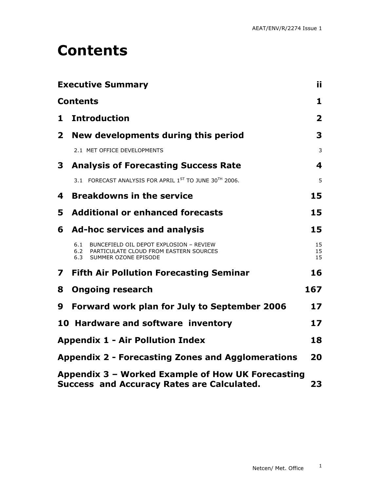## Contents

|                         | <b>Executive Summary</b>                                                                                                       | ij.            |
|-------------------------|--------------------------------------------------------------------------------------------------------------------------------|----------------|
|                         | <b>Contents</b>                                                                                                                | 1              |
| 1                       | <b>Introduction</b>                                                                                                            | $\overline{2}$ |
| $\mathbf{2}$            | New developments during this period                                                                                            | 3              |
|                         | 2.1 MET OFFICE DEVELOPMENTS                                                                                                    | 3              |
| 3                       | <b>Analysis of Forecasting Success Rate</b>                                                                                    | 4              |
|                         | 3.1 FORECAST ANALYSIS FOR APRIL 1ST TO JUNE 30TH 2006.                                                                         | 5              |
| 4                       | <b>Breakdowns in the service</b>                                                                                               | 15             |
| 5.                      | <b>Additional or enhanced forecasts</b>                                                                                        | 15             |
| 6                       | <b>Ad-hoc services and analysis</b>                                                                                            | 15             |
|                         | 6.1<br>BUNCEFIELD OIL DEPOT EXPLOSION - REVIEW<br>PARTICULATE CLOUD FROM EASTERN SOURCES<br>6.2<br>6.3<br>SUMMER OZONE EPISODE | 15<br>15<br>15 |
| $\overline{\mathbf{z}}$ | <b>Fifth Air Pollution Forecasting Seminar</b>                                                                                 | 16             |
| 8                       | <b>Ongoing research</b>                                                                                                        | 167            |
| 9                       | <b>Forward work plan for July to September 2006</b>                                                                            | 17             |
|                         | 10 Hardware and software inventory                                                                                             | 17             |
|                         | <b>Appendix 1 - Air Pollution Index</b>                                                                                        | 18             |
|                         | <b>Appendix 2 - Forecasting Zones and Agglomerations</b>                                                                       | 20             |
|                         | Appendix 3 - Worked Example of How UK Forecasting<br><b>Success and Accuracy Rates are Calculated.</b>                         | 23             |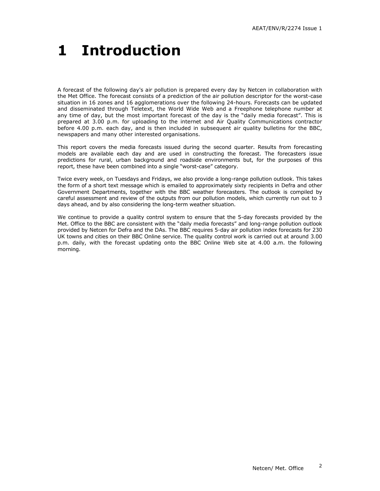# 1 Introduction

A forecast of the following day's air pollution is prepared every day by Netcen in collaboration with the Met Office. The forecast consists of a prediction of the air pollution descriptor for the worst-case situation in 16 zones and 16 agglomerations over the following 24-hours. Forecasts can be updated and disseminated through Teletext, the World Wide Web and a Freephone telephone number at any time of day, but the most important forecast of the day is the "daily media forecast". This is prepared at 3.00 p.m. for uploading to the internet and Air Quality Communications contractor before 4.00 p.m. each day, and is then included in subsequent air quality bulletins for the BBC, newspapers and many other interested organisations.

This report covers the media forecasts issued during the second quarter. Results from forecasting models are available each day and are used in constructing the forecast. The forecasters issue predictions for rural, urban background and roadside environments but, for the purposes of this report, these have been combined into a single "worst-case" category.

Twice every week, on Tuesdays and Fridays, we also provide a long-range pollution outlook. This takes the form of a short text message which is emailed to approximately sixty recipients in Defra and other Government Departments, together with the BBC weather forecasters. The outlook is compiled by careful assessment and review of the outputs from our pollution models, which currently run out to 3 days ahead, and by also considering the long-term weather situation.

We continue to provide a quality control system to ensure that the 5-day forecasts provided by the Met. Office to the BBC are consistent with the "daily media forecasts" and long-range pollution outlook provided by Netcen for Defra and the DAs. The BBC requires 5-day air pollution index forecasts for 230 UK towns and cities on their BBC Online service. The quality control work is carried out at around 3.00 p.m. daily, with the forecast updating onto the BBC Online Web site at 4.00 a.m. the following morning.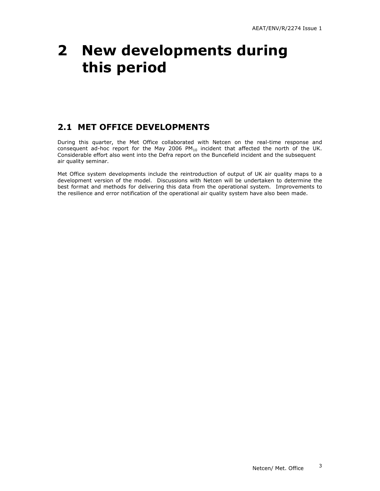## 2 New developments during this period

### 2.1 MET OFFICE DEVELOPMENTS

During this quarter, the Met Office collaborated with Netcen on the real-time response and consequent ad-hoc report for the May 2006  $PM_{10}$  incident that affected the north of the UK. Considerable effort also went into the Defra report on the Buncefield incident and the subsequent air quality seminar.

Met Office system developments include the reintroduction of output of UK air quality maps to a development version of the model. Discussions with Netcen will be undertaken to determine the best format and methods for delivering this data from the operational system. Improvements to the resilience and error notification of the operational air quality system have also been made.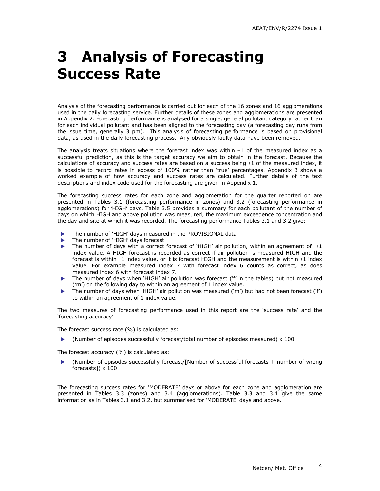# 3 Analysis of Forecasting Success Rate

Analysis of the forecasting performance is carried out for each of the 16 zones and 16 agglomerations used in the daily forecasting service. Further details of these zones and agglomerations are presented in Appendix 2. Forecasting performance is analysed for a single, general pollutant category rather than for each individual pollutant and has been aligned to the forecasting day (a forecasting day runs from the issue time, generally 3 pm). This analysis of forecasting performance is based on provisional data, as used in the daily forecasting process. Any obviously faulty data have been removed.

The analysis treats situations where the forecast index was within  $\pm 1$  of the measured index as a successful prediction, as this is the target accuracy we aim to obtain in the forecast. Because the calculations of accuracy and success rates are based on a success being  $\pm 1$  of the measured index, it is possible to record rates in excess of 100% rather than 'true' percentages. Appendix 3 shows a worked example of how accuracy and success rates are calculated. Further details of the text descriptions and index code used for the forecasting are given in Appendix 1.

The forecasting success rates for each zone and agglomeration for the quarter reported on are presented in Tables 3.1 (forecasting performance in zones) and 3.2 (forecasting performance in agglomerations) for 'HIGH' days. Table 3.5 provides a summary for each pollutant of the number of days on which HIGH and above pollution was measured, the maximum exceedence concentration and the day and site at which it was recorded. The forecasting performance Tables 3.1 and 3.2 give:

- The number of 'HIGH' days measured in the PROVISIONAL data
- The number of 'HIGH' days forecast
- The number of days with a correct forecast of 'HIGH' air pollution, within an agreement of  $\pm 1$ index value. A HIGH forecast is recorded as correct if air pollution is measured HIGH and the forecast is within  $\pm 1$  index value, or it is forecast HIGH and the measurement is within  $\pm 1$  index value. For example measured index 7 with forecast index 6 counts as correct, as does measured index 6 with forecast index 7.
- The number of days when 'HIGH' air pollution was forecast ('f' in the tables) but not measured ('m') on the following day to within an agreement of 1 index value.
- The number of days when 'HIGH' air pollution was measured ('m') but had not been forecast ('f') to within an agreement of 1 index value.

The two measures of forecasting performance used in this report are the 'success rate' and the 'forecasting accuracy'.

The forecast success rate (%) is calculated as:

 $\blacktriangleright$  (Number of episodes successfully forecast/total number of episodes measured)  $\times$  100

The forecast accuracy (%) is calculated as:

 (Number of episodes successfully forecast/[Number of successful forecasts + number of wrong forecasts])  $\times$  100

The forecasting success rates for 'MODERATE' days or above for each zone and agglomeration are presented in Tables 3.3 (zones) and 3.4 (agglomerations). Table 3.3 and 3.4 give the same information as in Tables 3.1 and 3.2, but summarised for 'MODERATE' days and above.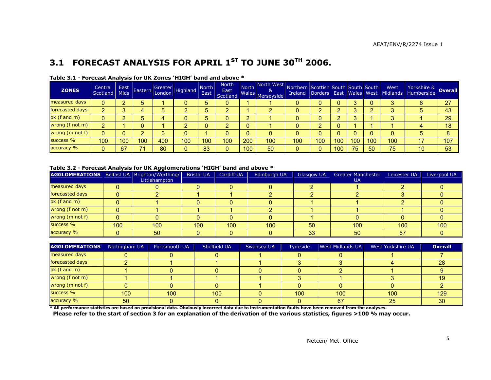### 3.1 FORECAST ANALYSIS FOR APRIL 1<sup>ST</sup> TO JUNE 30<sup>TH</sup> 2006.

| <b>ZONES</b>    | Central<br>Scotland | Mids | <b>East Eastern</b> |             | Greater Highland | <b>North</b><br>East | North<br>East<br>Scotland |        | North North West Northern Scottish South South South  <br>8 <sub>k</sub><br>md Wales Merseyside |     |     |     |     |     | West<br>Ireland Borders East Wales West Midlands | Yorkshire &<br>Humberside | <b>Overall</b> |
|-----------------|---------------------|------|---------------------|-------------|------------------|----------------------|---------------------------|--------|-------------------------------------------------------------------------------------------------|-----|-----|-----|-----|-----|--------------------------------------------------|---------------------------|----------------|
| measured days   |                     |      |                     |             |                  | 5                    |                           |        |                                                                                                 |     |     |     |     |     |                                                  |                           | 27             |
| forecasted days | $\sim$              |      |                     | $\mathbf b$ |                  | 5                    |                           |        |                                                                                                 |     |     |     |     |     |                                                  |                           | 43             |
| ok (f and m)    |                     |      |                     | 4           |                  | 5                    |                           | റ      |                                                                                                 |     |     |     |     |     |                                                  |                           | 29             |
| wrong (f not m) |                     |      |                     |             |                  |                      |                           | Λ<br>U |                                                                                                 |     |     |     |     |     |                                                  |                           | 18             |
| wrong (m not f) |                     |      |                     |             |                  |                      |                           | 0      | 0                                                                                               |     |     |     |     |     |                                                  |                           | 8              |
| success %       | 100                 | 100  | 100                 | 400         | 100              | 100                  | 100                       | 200    | 100                                                                                             | 100 | 100 | 100 | 100 | 100 | 100                                              | 17                        | 107            |
| accuracy %      |                     | 67   |                     | 80          |                  | 83                   |                           | 100    | 50                                                                                              |     |     | 100 | 75  | 50  | 75                                               | 10                        | 53             |

#### Table 3.1 - Forecast Analysis for UK Zones 'HIGH' band and above \*

#### Table 3.2 - Forecast Analysis for UK Agglomerations 'HIGH' band and above \*

| <b>AGGLOMERATIONS</b> Belfast UA Brighton/Worthing/ |     | Littlehampton    | <b>Bristol UA</b> | Cardiff UA | Edinburgh UA | <b>Glasgow UA</b> | Greater Manchester<br>UA | Leicester UA | Liverpool UA |
|-----------------------------------------------------|-----|------------------|-------------------|------------|--------------|-------------------|--------------------------|--------------|--------------|
| measured days                                       |     |                  |                   |            |              |                   |                          |              |              |
| forecasted days                                     |     |                  |                   |            |              |                   |                          |              |              |
| ok (f and m)                                        |     |                  |                   |            |              |                   |                          |              |              |
| wrong (f not m)                                     |     |                  |                   |            |              |                   |                          |              |              |
| wrong (m not f)                                     |     |                  |                   |            |              |                   |                          |              |              |
| success %                                           | 100 | 100 <sup>1</sup> | 100               | 100        | 100          | 50                | 100                      | 100          | 100          |
| accuracy %                                          |     | 50               |                   |            |              | 33                | 50                       | 67           |              |

| <b>AGGLOMERATIONS</b>                                                                                                                                   | Nottingham UA | Portsmouth UA | Sheffield UA | Swansea UA | Tyneside | <b>West Midlands UA</b> | West Yorkshire UA | <b>Overall</b> |
|---------------------------------------------------------------------------------------------------------------------------------------------------------|---------------|---------------|--------------|------------|----------|-------------------------|-------------------|----------------|
| measured days                                                                                                                                           |               |               |              |            |          |                         |                   |                |
| forecasted days                                                                                                                                         |               |               |              |            |          |                         |                   | 28             |
| ok(f and m)                                                                                                                                             |               |               |              |            |          |                         |                   |                |
| wrong (f not m)                                                                                                                                         |               |               |              |            |          |                         |                   |                |
| wrong (m not f)                                                                                                                                         |               |               |              |            |          |                         |                   |                |
| success %                                                                                                                                               | 100           | 100           | 100          |            | 100      | 100                     | 100               | 129            |
| accuracy %                                                                                                                                              | 50            |               |              |            |          | 67                      | 25                | 30             |
| * All performance statistics are based on provisional data. Obviously incorrect data due to instrumentation faults have been removed from the analyses. |               |               |              |            |          |                         |                   |                |

Please refer to the start of section 3 for an explanation of the derivation of the various statistics, figures >100 % may occur.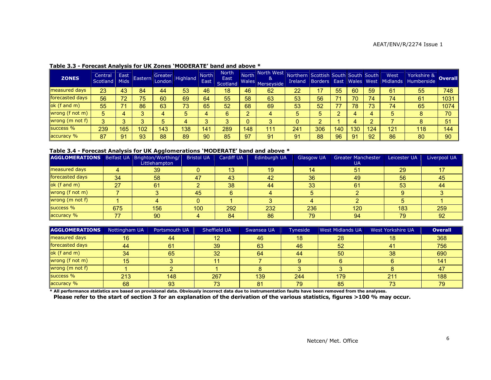| <b>ZONES</b>    | Central<br>Scotland | East<br><b>Mids</b> | Eastern | Greater<br>London | Highland | <b>North</b><br><b>East</b> | <b>North</b><br><b>East</b><br><b>Scotland</b> | <b>North</b><br><b>Wales</b> | North West<br>&<br>Merseyside | Northern Scottish South South South<br>Ireland | Borders East |     | Wales West |     | West<br>Midlands | Yorkshire &<br>Humberside | <b>Overall</b> |
|-----------------|---------------------|---------------------|---------|-------------------|----------|-----------------------------|------------------------------------------------|------------------------------|-------------------------------|------------------------------------------------|--------------|-----|------------|-----|------------------|---------------------------|----------------|
| measured days   | 23                  | 43                  | 84      | 44                | 53       | 46                          | 18                                             | 46                           | 62                            | 22                                             |              | 55  | 60         | 59  | 61               | 55                        | 748            |
| forecasted days | 56                  | 72                  | 75      | 60                | 69       | 64                          | 55                                             | 58                           | 63                            | 53                                             | 56           |     | 70         | 74  | 74               | 61                        | 1031           |
| ok (f and m)    | 55                  |                     | 86      | 63                | 73       | 65                          | 52                                             | 68                           | 69                            | 53                                             | 52           |     | 78         | 73  | 74               | 65                        | 1074           |
| wrong (f not m) | 5                   |                     |         |                   |          | 4                           | 6                                              | ≘                            |                               |                                                | 5            |     |            |     |                  |                           | 70             |
| wrong (m not f) | ົ                   |                     |         |                   |          |                             | 3                                              |                              |                               |                                                |              |     |            |     |                  |                           | 51             |
| success %       | 239                 | 165                 | 102     | 143               | 138      | 14 <sup>′</sup>             | 289                                            | 148                          | 111                           | 241                                            | 306          | 140 | 130        | 124 | 121              | 118                       | 144            |
| accuracy %      | 87                  | 91                  | 93      | 88                | 89       | 90                          | 85                                             | 97                           | 91                            | 91                                             | 88           | 96  | 91         | 92  | 86               | 80                        | 90             |

#### Table 3.3 - Forecast Analysis for UK Zones 'MODERATE' band and above \*

#### Table 3.4 - Forecast Analysis for UK Agglomerations 'MODERATE' band and above \*

| AGGLOMERATIONS   Belfast UA   Brighton/Worthing/ |     | Littlehampton | <b>Bristol UA</b> | <b>Cardiff UA</b> | Edinburgh UA | <b>Glasgow UA</b> | <b>Greater Manchester</b><br>UA. | Leicester UA | Liverpool UA |
|--------------------------------------------------|-----|---------------|-------------------|-------------------|--------------|-------------------|----------------------------------|--------------|--------------|
| measured days                                    |     | 39            |                   | 13                | 19           | 14                | 51                               | 29           |              |
| forecasted days                                  | 34  | 58            | 47                | 43                | 42           | 36                | 49                               | 56           | 45           |
| ok (f and m)                                     | 27  | 61            |                   | 38                | 44           | 33                | 61                               | 53           | -44          |
| wrong (f not m)                                  |     |               | 45                |                   |              |                   |                                  |              |              |
| wrong (m not f)                                  |     |               |                   |                   |              |                   |                                  |              |              |
| success %                                        | 675 | 156           | 100               | 292               | 232          | 236               | 120                              | 183          | 259          |
| accuracy %                                       | 77  | 90            |                   | 84                | 86           | 79                | 94                               | 79           | 92           |

| <b>AGGLOMERATIONS</b>                                                                                                                                   | Nottingham UA | Portsmouth UA | Sheffield UA | Swansea UA | Tyneside | <b>West Midlands UA</b> | West Yorkshire UA | <b>Overall</b> |
|---------------------------------------------------------------------------------------------------------------------------------------------------------|---------------|---------------|--------------|------------|----------|-------------------------|-------------------|----------------|
| measured days                                                                                                                                           |               | 44            | 12           | 46         | 18       | 28                      | 18                | 368            |
| forecasted days                                                                                                                                         | 44            | 61            | 39           | 63         | 46       | 52                      |                   | 756            |
| ok (f and m)                                                                                                                                            | 34            | 65            | 32           | 64         | 44       | 50                      | 38                | 690            |
| wrong (f not m)                                                                                                                                         | 15.           |               |              |            |          |                         |                   | 141            |
| wrong (m not f)                                                                                                                                         |               |               |              |            |          |                         |                   |                |
| success %                                                                                                                                               | 213           | 148           | 267          | 139        | 244      | 179                     | 211               | 188            |
| accuracy %                                                                                                                                              | 68            | 93            | 73           | 81         | 79       | 85                      |                   |                |
| * All performance statistics are based on provisional data. Obviously incorrect data due to instrumentation faults have been removed from the analyses. |               |               |              |            |          |                         |                   |                |

Please refer to the start of section 3 for an explanation of the derivation of the various statistics, figures >100 % may occur.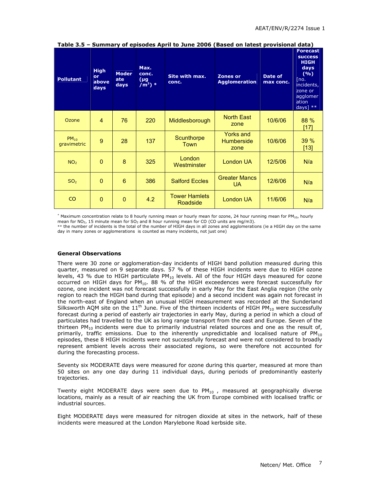| <b>Pollutant</b>         | <b>High</b><br>or<br>above<br>days | <b>Moder</b><br>ate<br>days | Max.<br>conc.<br>$(\mu g)$<br>$\overline{m^3}$ ) * | Site with max.<br>conc.          | <b>Zones or</b><br><b>Agglomeration</b> | Date of<br>max conc. | <b>Forecast</b><br><b>SUCCESS</b><br><b>HIGH</b><br>days<br>(9/0)<br>[no.]<br>incidents,<br>zone or<br>agglomer<br>ation<br>days] $**$ |
|--------------------------|------------------------------------|-----------------------------|----------------------------------------------------|----------------------------------|-----------------------------------------|----------------------|----------------------------------------------------------------------------------------------------------------------------------------|
| Ozone                    | $\overline{4}$                     | 76                          | 220                                                | Middlesborough                   | <b>North East</b><br>zone               | 10/6/06              | 88 %<br>[17]                                                                                                                           |
| $PM_{10}$<br>gravimetric | 9                                  | 28                          | 137                                                | Scunthorpe<br>Town               | Yorks and<br><b>Humberside</b><br>zone  | 10/6/06              | 39%<br>$[13]$                                                                                                                          |
| NO <sub>2</sub>          | $\overline{0}$                     | 8                           | 325                                                | London<br>Westminster            | <b>London UA</b>                        | 12/5/06              | N/a                                                                                                                                    |
| SO <sub>2</sub>          | $\overline{0}$                     | 6                           | 386                                                | <b>Salford Eccles</b>            | <b>Greater Mancs</b><br><b>UA</b>       | 12/6/06              | N/a                                                                                                                                    |
| <sub>co</sub>            | $\mathbf{0}$                       | $\overline{0}$              | 4.2                                                | <b>Tower Hamlets</b><br>Roadside | <b>London UA</b>                        | 11/6/06              | N/a                                                                                                                                    |

Table 3.5 – Summary of episodes April to June 2006 (Based on latest provisional data)

\* Maximum concentration relate to 8 hourly running mean or hourly mean for ozone, 24 hour running mean for PM<sub>10</sub>, hourly mean for NO<sub>2</sub>, 15 minute mean for SO<sub>2</sub> and 8 hour running mean for CO (CO units are mg/m3).

\*\* the number of incidents is the total of the number of HIGH days in all zones and agglomerations (ie a HIGH day on the same day in many zones or agglomerations is counted as many incidents, not just one)

#### General Observations

There were 30 zone or agglomeration-day incidents of HIGH band pollution measured during this quarter, measured on 9 separate days. 57 % of these HIGH incidents were due to HIGH ozone levels, 43 % due to HIGH particulate  $PM_{10}$  levels. All of the four HIGH days measured for ozone occurred on HIGH days for  $PM_{10}$ . 88 % of the HIGH exceedences were forecast successfully for ozone, one incident was not forecast successfully in early May for the East Anglia region (the only region to reach the HIGH band during that episode) and a second incident was again not forecast in the north-east of England when an unusual HIGH measurement was recorded at the Sunderland Silksworth AQM site on the  $11<sup>th</sup>$  June. Five of the thirteen incidents of HIGH PM $_{10}$  were successfully forecast during a period of easterly air trajectories in early May, during a period in which a cloud of particulates had travelled to the UK as long range transport from the east and Europe. Seven of the thirteen PM<sub>10</sub> incidents were due to primarily industrial related sources and one as the result of, primarily, traffic emissions. Due to the inherently unpredictable and localised nature of  $PM_{10}$ episodes, these 8 HIGH incidents were not successfully forecast and were not considered to broadly represent ambient levels across their associated regions, so were therefore not accounted for during the forecasting process.

Seventy six MODERATE days were measured for ozone during this quarter, measured at more than 50 sites on any one day during 11 individual days, during periods of predominantly easterly trajectories.

Twenty eight MODERATE days were seen due to  $PM_{10}$ , measured at geographically diverse locations, mainly as a result of air reaching the UK from Europe combined with localised traffic or industrial sources.

Eight MODERATE days were measured for nitrogen dioxide at sites in the network, half of these incidents were measured at the London Marylebone Road kerbside site.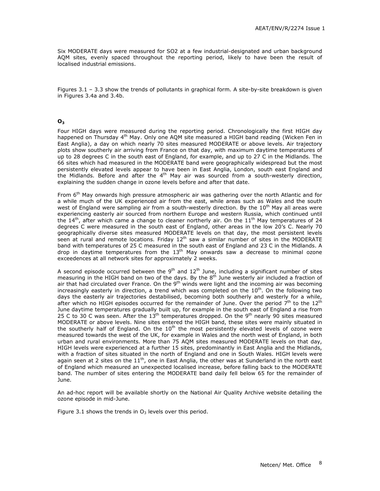Six MODERATE days were measured for SO2 at a few industrial-designated and urban background AQM sites, evenly spaced throughout the reporting period, likely to have been the result of localised industrial emissions.

Figures 3.1 – 3.3 show the trends of pollutants in graphical form. A site-by-site breakdown is given in Figures 3.4a and 3.4b.

#### $O<sub>3</sub>$

Four HIGH days were measured during the reporting period. Chronologically the first HIGH day happened on Thursday 4<sup>th</sup> May. Only one AOM site measured a HIGH band reading (Wicken Fen in East Anglia), a day on which nearly 70 sites measured MODERATE or above levels. Air trajectory plots show southerly air arriving from France on that day, with maximum daytime temperatures of up to 28 degrees C in the south east of England, for example, and up to 27 C in the Midlands. The 66 sites which had measured in the MODERATE band were geographically widespread but the most persistently elevated levels appear to have been in East Anglia, London, south east England and the Midlands. Before and after the  $4<sup>th</sup>$  May air was sourced from a south-westerly direction, explaining the sudden change in ozone levels before and after that date.

From 6<sup>th</sup> May onwards high pressure atmospheric air was gathering over the north Atlantic and for a while much of the UK experienced air from the east, while areas such as Wales and the south west of England were sampling air from a south-westerly direction. By the 10<sup>th</sup> May all areas were experiencing easterly air sourced from northern Europe and western Russia, which continued until the  $14<sup>th</sup>$ , after which came a change to cleaner northerly air. On the  $11<sup>th</sup>$  May temperatures of 24 degrees C were measured in the south east of England, other areas in the low 20's C. Nearly 70 geographically diverse sites measured MODERATE levels on that day, the most persistent levels seen at rural and remote locations. Friday  $12<sup>th</sup>$  saw a similar number of sites in the MODERATE band with temperatures of 25 C measured in the south east of England and 23 C in the Midlands. A drop in daytime temperatures from the  $13<sup>th</sup>$  May onwards saw a decrease to minimal ozone exceedences at all network sites for approximately 2 weeks.

A second episode occurred between the 9<sup>th</sup> and  $12^{\text{th}}$  June, including a significant number of sites measuring in the HIGH band on two of the days. By the 8<sup>th</sup> June westerly air included a fraction of air that had circulated over France. On the  $9<sup>th</sup>$  winds were light and the incoming air was becoming increasingly easterly in direction, a trend which was completed on the  $10^{th}$ . On the following two days the easterly air trajectories destabilised, becoming both southerly and westerly for a while, after which no HIGH episodes occurred for the remainder of June. Over the period  $7^{\text{th}}$  to the 12<sup>th</sup> June daytime temperatures gradually built up, for example in the south east of England a rise from 25 C to 30 C was seen. After the  $13<sup>th</sup>$  temperatures dropped. On the  $9<sup>th</sup>$  nearly 90 sites measured MODERATE or above levels. Nine sites entered the HIGH band, these sites were mainly situated in the southerly half of England. On the  $10<sup>th</sup>$  the most persistently elevated levels of ozone were measured towards the west of the UK, for example in Wales and the north west of England, in both urban and rural environments. More than 75 AQM sites measured MODERATE levels on that day, HIGH levels were experienced at a further 15 sites, predominantly in East Anglia and the Midlands, with a fraction of sites situated in the north of England and one in South Wales. HIGH levels were again seen at 2 sites on the  $11<sup>th</sup>$ , one in East Anglia, the other was at Sunderland in the north east of England which measured an unexpected localised increase, before falling back to the MODERATE band. The number of sites entering the MODERATE band daily fell below 65 for the remainder of June.

An ad-hoc report will be available shortly on the National Air Quality Archive website detailing the ozone episode in mid-June.

Figure 3.1 shows the trends in  $O_3$  levels over this period.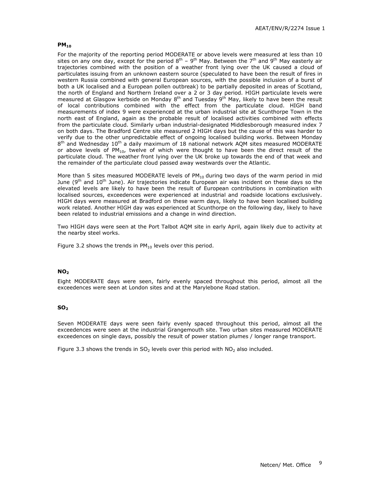#### $PM<sub>10</sub>$

For the majority of the reporting period MODERATE or above levels were measured at less than 10 sites on any one day, except for the period  $8<sup>th</sup> - 9<sup>th</sup>$  May. Between the 7<sup>th</sup> and 9<sup>th</sup> May easterly air trajectories combined with the position of a weather front lying over the UK caused a cloud of particulates issuing from an unknown eastern source (speculated to have been the result of fires in western Russia combined with general European sources, with the possible inclusion of a burst of both a UK localised and a European pollen outbreak) to be partially deposited in areas of Scotland, the north of England and Northern Ireland over a 2 or 3 day period. HIGH particulate levels were measured at Glasgow kerbside on Monday  $8<sup>th</sup>$  and Tuesday  $9<sup>th</sup>$  May, likely to have been the result of local contributions combined with the effect from the particulate cloud. HIGH band measurements of index 9 were experienced at the urban industrial site at Scunthorpe Town in the north east of England, again as the probable result of localised activities combined with effects from the particulate cloud. Similarly urban industrial-designated Middlesborough measured index 7 on both days. The Bradford Centre site measured 2 HIGH days but the cause of this was harder to verify due to the other unpredictable effect of ongoing localised building works. Between Monday 8<sup>th</sup> and Wednesday 10<sup>th</sup> a daily maximum of 18 national network AQM sites measured MODERATE or above levels of PM<sub>10</sub>, twelve of which were thought to have been the direct result of the particulate cloud. The weather front lying over the UK broke up towards the end of that week and the remainder of the particulate cloud passed away westwards over the Atlantic.

More than 5 sites measured MODERATE levels of  $PM_{10}$  during two days of the warm period in mid June ( $9<sup>th</sup>$  and  $10<sup>th</sup>$  June). Air trajectories indicate European air was incident on these days so the elevated levels are likely to have been the result of European contributions in combination with localised sources, exceedences were experienced at industrial and roadside locations exclusively. HIGH days were measured at Bradford on these warm days, likely to have been localised building work related. Another HIGH day was experienced at Scunthorpe on the following day, likely to have been related to industrial emissions and a change in wind direction.

Two HIGH days were seen at the Port Talbot AQM site in early April, again likely due to activity at the nearby steel works.

Figure 3.2 shows the trends in  $PM_{10}$  levels over this period.

#### $NO<sub>2</sub>$

Eight MODERATE days were seen, fairly evenly spaced throughout this period, almost all the exceedences were seen at London sites and at the Marylebone Road station.

#### $SO<sub>2</sub>$

Seven MODERATE days were seen fairly evenly spaced throughout this period, almost all the exceedences were seen at the industrial Grangemouth site. Two urban sites measured MODERATE exceedences on single days, possibly the result of power station plumes / longer range transport.

Figure 3.3 shows the trends in  $SO_2$  levels over this period with  $NO_2$  also included.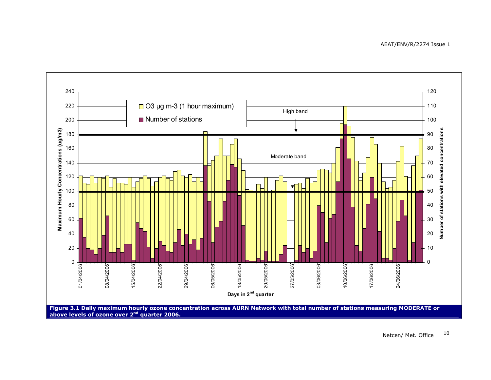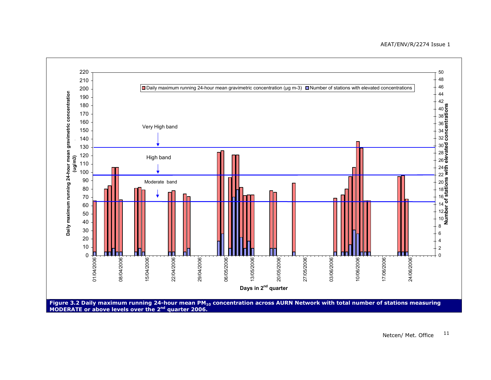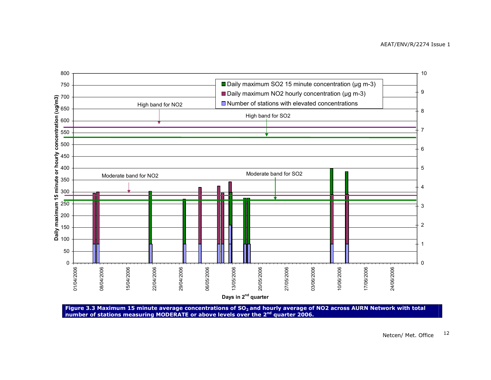

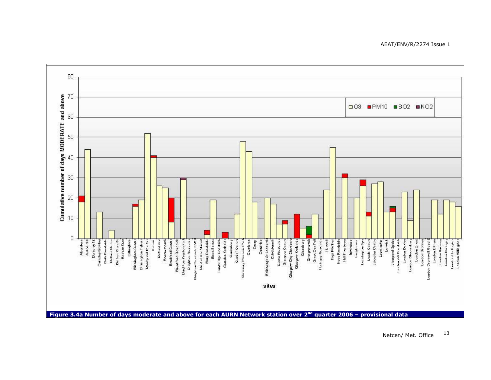

 Netcen/ Met. Office<sup>13</sup>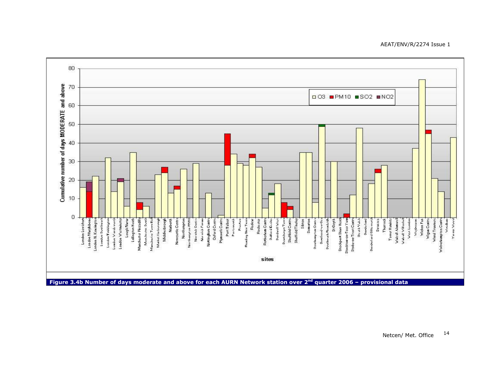#### AEAT/ENV/R/2274 Issue 1

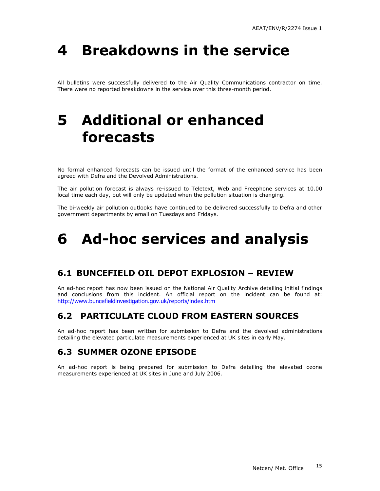# 4 Breakdowns in the service

All bulletins were successfully delivered to the Air Quality Communications contractor on time. There were no reported breakdowns in the service over this three-month period.

## 5 Additional or enhanced forecasts

No formal enhanced forecasts can be issued until the format of the enhanced service has been agreed with Defra and the Devolved Administrations.

The air pollution forecast is always re-issued to Teletext, Web and Freephone services at 10.00 local time each day, but will only be updated when the pollution situation is changing.

The bi-weekly air pollution outlooks have continued to be delivered successfully to Defra and other government departments by email on Tuesdays and Fridays.

## 6 Ad-hoc services and analysis

### 6.1 BUNCEFIELD OIL DEPOT EXPLOSION – REVIEW

An ad-hoc report has now been issued on the National Air Quality Archive detailing initial findings and conclusions from this incident. An official report on the incident can be found at: http://www.buncefieldinvestigation.gov.uk/reports/index.htm

### 6.2 PARTICULATE CLOUD FROM EASTERN SOURCES

An ad-hoc report has been written for submission to Defra and the devolved administrations detailing the elevated particulate measurements experienced at UK sites in early May.

### 6.3 SUMMER OZONE EPISODE

An ad-hoc report is being prepared for submission to Defra detailing the elevated ozone measurements experienced at UK sites in June and July 2006.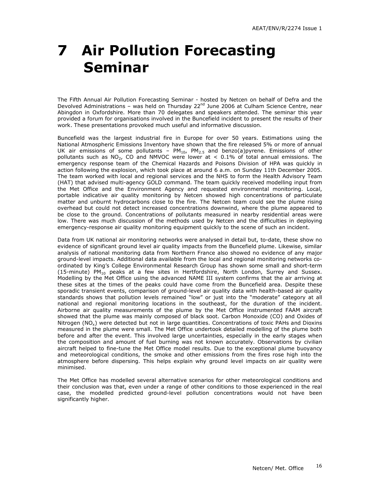# 7 Air Pollution Forecasting Seminar

The Fifth Annual Air Pollution Forecasting Seminar - hosted by Netcen on behalf of Defra and the Devolved Administrations – was held on Thursday 22<sup>nd</sup> June 2006 at Culham Science Centre, near Abingdon in Oxfordshire. More than 70 delegates and speakers attended. The seminar this year provided a forum for organisations involved in the Buncefield incident to present the results of their work. These presentations provoked much useful and informative discussion.

Buncefield was the largest industrial fire in Europe for over 50 years. Estimations using the National Atmospheric Emissions Inventory have shown that the fire released 5% or more of annual UK air emissions of some pollutants –  $PM_{10}$ ,  $PM_{2.5}$  and benzo(a)pyrene. Emissions of other pollutants such as  $NO<sub>2</sub>$ , CO and NMVOC were lower at  $< 0.1\%$  of total annual emissions. The emergency response team of the Chemical Hazards and Poisons Division of HPA was quickly in action following the explosion, which took place at around 6 a.m. on Sunday 11th December 2005. The team worked with local and regional services and the NHS to form the Health Advisory Team (HAT) that advised multi-agency GOLD command. The team quickly received modelling input from the Met Office and the Environment Agency and requested environmental monitoring. Local, portable indicative air quality monitoring by Netcen showed high concentrations of particulate matter and unburnt hydrocarbons close to the fire. The Netcen team could see the plume rising overhead but could not detect increased concentrations downwind, where the plume appeared to be close to the ground. Concentrations of pollutants measured in nearby residential areas were low. There was much discussion of the methods used by Netcen and the difficulties in deploying emergency-response air quality monitoring equipment quickly to the scene of such an incident.

Data from UK national air monitoring networks were analysed in detail but, to-date, these show no evidence of significant ground level air quality impacts from the Buncefield plume. Likewise, similar analysis of national monitoring data from Northern France also showed no evidence of any major ground-level impacts. Additional data available from the local and regional monitoring networks coordinated by King's College Environmental Research Group has shown some small and short-term (15-minute) PM10 peaks at a few sites in Hertfordshire, North London, Surrey and Sussex. Modelling by the Met Office using the advanced NAME III system confirms that the air arriving at these sites at the times of the peaks could have come from the Buncefield area. Despite these sporadic transient events, comparison of ground-level air quality data with health-based air quality standards shows that pollution levels remained "low" or just into the "moderate" category at all national and regional monitoring locations in the southeast, for the duration of the incident. Airborne air quality measurements of the plume by the Met Office instrumented FAAM aircraft showed that the plume was mainly composed of black soot. Carbon Monoxide (CO) and Oxides of Nitrogen  $(NO<sub>x</sub>)$  were detected but not in large quantities. Concentrations of toxic PAHs and Dioxins measured in the plume were small. The Met Office undertook detailed modelling of the plume both before and after the event. This involved large uncertainties, especially in the early stages when the composition and amount of fuel burning was not known accurately. Observations by civilian aircraft helped to fine-tune the Met Office model results. Due to the exceptional plume buoyancy and meteorological conditions, the smoke and other emissions from the fires rose high into the atmosphere before dispersing. This helps explain why ground level impacts on air quality were minimised.

The Met Office has modelled several alternative scenarios for other meteorological conditions and their conclusion was that, even under a range of other conditions to those experienced in the real case, the modelled predicted ground-level pollution concentrations would not have been significantly higher.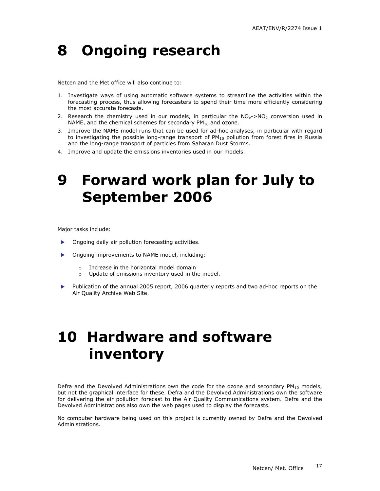## 8 Ongoing research

Netcen and the Met office will also continue to:

- 1. Investigate ways of using automatic software systems to streamline the activities within the forecasting process, thus allowing forecasters to spend their time more efficiently considering the most accurate forecasts.
- 2. Research the chemistry used in our models, in particular the  $NO<sub>x</sub>$ ->NO<sub>2</sub> conversion used in NAME, and the chemical schemes for secondary  $PM_{10}$  and ozone.
- 3. Improve the NAME model runs that can be used for ad-hoc analyses, in particular with regard to investigating the possible long-range transport of  $PM_{10}$  pollution from forest fires in Russia and the long-range transport of particles from Saharan Dust Storms.
- 4. Improve and update the emissions inventories used in our models.

## 9 Forward work plan for July to September 2006

Major tasks include:

- **Demoglem** Ongoing daily air pollution forecasting activities.
- **Demoglem** Dngoing improvements to NAME model, including:
	- o Increase in the horizontal model domain
	- o Update of emissions inventory used in the model.
- Publication of the annual 2005 report, 2006 quarterly reports and two ad-hoc reports on the Air Quality Archive Web Site.

## 10 Hardware and software inventory

Defra and the Devolved Administrations own the code for the ozone and secondary  $PM_{10}$  models, but not the graphical interface for these. Defra and the Devolved Administrations own the software for delivering the air pollution forecast to the Air Quality Communications system. Defra and the Devolved Administrations also own the web pages used to display the forecasts.

No computer hardware being used on this project is currently owned by Defra and the Devolved Administrations.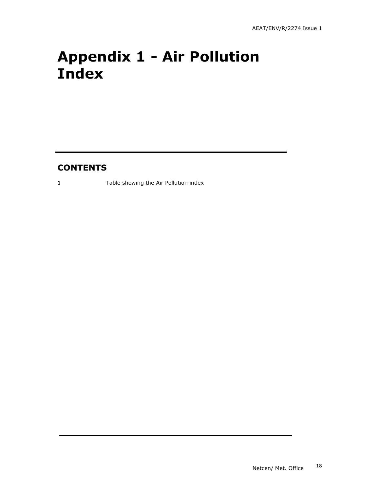# Appendix 1 - Air Pollution Index

### **CONTENTS**

1 Table showing the Air Pollution index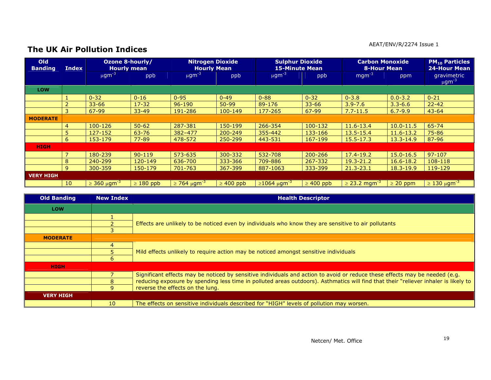#### AEAT/ENV/R/2274 Issue 1

### The UK Air Pollution Indices

| <b>Old</b><br><b>Banding</b> | <b>Index</b>    | Ozone 8-hourly/<br><b>Hourly mean</b> |                | <b>Nitrogen Dioxide</b><br><b>Hourly Mean</b> |                | <b>Sulphur Dioxide</b><br><b>15-Minute Mean</b> |                | <b>Carbon Monoxide</b><br><b>8-Hour Mean</b> |               | <b>PM<sub>10</sub> Particles</b><br><b>24-Hour Mean</b> |
|------------------------------|-----------------|---------------------------------------|----------------|-----------------------------------------------|----------------|-------------------------------------------------|----------------|----------------------------------------------|---------------|---------------------------------------------------------|
|                              |                 | $\mu$ gm <sup>-3</sup>                | ppb            | $\mu$ gm <sup>-3</sup>                        | ppb            | $\mu$ gm <sup>-3</sup>                          | ppb            | $mgm^{-3}$                                   | ppm           | gravimetric<br>$\mu$ gm <sup>-3</sup>                   |
| LOW                          |                 |                                       |                |                                               |                |                                                 |                |                                              |               |                                                         |
|                              |                 | $0 - 32$                              | $0 - 16$       | $0 - 95$                                      | $0 - 49$       | $0 - 88$                                        | $0 - 32$       | $0 - 3.8$                                    | $0.0 - 3.2$   | $0 - 21$                                                |
|                              |                 | $33 - 66$                             | $17 - 32$      | $96 - 190$                                    | $50-99$        | 89-176                                          | $33 - 66$      | $3.9 - 7.6$                                  | $3.3 - 6.6$   | $22 - 42$                                               |
|                              | 3               | $67 - 99$                             | $33 - 49$      | 191-286                                       | $100 - 149$    | 177-265                                         | 67-99          | $7.7 - 11.5$                                 | $6.7 - 9.9$   | $43 - 64$                                               |
| <b>MODERATE</b>              |                 |                                       |                |                                               |                |                                                 |                |                                              |               |                                                         |
|                              | $\overline{4}$  | 100-126                               | $50 - 62$      | 287-381                                       | 150-199        | 266-354                                         | 100-132        | 11.6-13.4                                    | $10.0 - 11.5$ | 65-74                                                   |
|                              | 5               | 127-152                               | $63 - 76$      | $382 - 477$                                   | 200-249        | 355-442                                         | 133-166        | 13.5-15.4                                    | 11.6-13.2     | 75-86                                                   |
|                              | 6               | 153-179                               | $77 - 89$      | 478-572                                       | 250-299        | 443-531                                         | 167-199        | $15.5 - 17.3$                                | $13.3 - 14.9$ | 87-96                                                   |
| <b>HIGH</b>                  |                 |                                       |                |                                               |                |                                                 |                |                                              |               |                                                         |
|                              | $\overline{7}$  | 180-239                               | $90 - 119$     | 573-635                                       | 300-332        | 532-708                                         | 200-266        | $17.4 - 19.2$                                | $15.0 - 16.5$ | $97 - 107$                                              |
|                              | 8               | 240-299                               | 120-149        | 636-700                                       | 333-366        | 709-886                                         | 267-332        | $19.3 - 21.2$                                | $16.6 - 18.2$ | 108-118                                                 |
|                              | 9               | 300-359                               | 150-179        | 701-763                                       | 367-399        | 887-1063                                        | 333-399        | $21.3 - 23.1$                                | $18.3 - 19.9$ | 119-129                                                 |
| <b>VERY HIGH</b>             |                 |                                       |                |                                               |                |                                                 |                |                                              |               |                                                         |
|                              | 10 <sup>°</sup> | $\geq$ 360 μgm <sup>-3</sup>          | $\geq 180$ ppb | $\geq$ 764 μgm <sup>-3</sup>                  | $\geq 400$ ppb | $\geq 1064 \ \mu \text{gm}^{-3}$                | $\geq 400$ ppb | $\geq$ 23.2 mgm <sup>-3</sup>                | $\geq$ 20 ppm | $\geq$ 130 μgm <sup>-3</sup>                            |

| <b>Old Banding</b> | <b>New Index</b> | <b>Health Descriptor</b>                                                                                                            |  |  |  |  |  |  |
|--------------------|------------------|-------------------------------------------------------------------------------------------------------------------------------------|--|--|--|--|--|--|
| <b>LOW</b>         |                  |                                                                                                                                     |  |  |  |  |  |  |
|                    |                  |                                                                                                                                     |  |  |  |  |  |  |
|                    |                  | Effects are unlikely to be noticed even by individuals who know they are sensitive to air pollutants                                |  |  |  |  |  |  |
|                    |                  |                                                                                                                                     |  |  |  |  |  |  |
| <b>MODERATE</b>    |                  |                                                                                                                                     |  |  |  |  |  |  |
|                    |                  |                                                                                                                                     |  |  |  |  |  |  |
|                    |                  | Mild effects unlikely to require action may be noticed amongst sensitive individuals                                                |  |  |  |  |  |  |
|                    | 6                |                                                                                                                                     |  |  |  |  |  |  |
| <b>HIGH</b>        |                  |                                                                                                                                     |  |  |  |  |  |  |
|                    |                  | Significant effects may be noticed by sensitive individuals and action to avoid or reduce these effects may be needed (e.g.         |  |  |  |  |  |  |
|                    |                  | reducing exposure by spending less time in polluted areas outdoors). Asthmatics will find that their "reliever inhaler is likely to |  |  |  |  |  |  |
|                    | q                | reverse the effects on the lung.                                                                                                    |  |  |  |  |  |  |
| <b>VERY HIGH</b>   |                  |                                                                                                                                     |  |  |  |  |  |  |
|                    | 10 <sup>°</sup>  | The effects on sensitive individuals described for "HIGH" levels of pollution may worsen.                                           |  |  |  |  |  |  |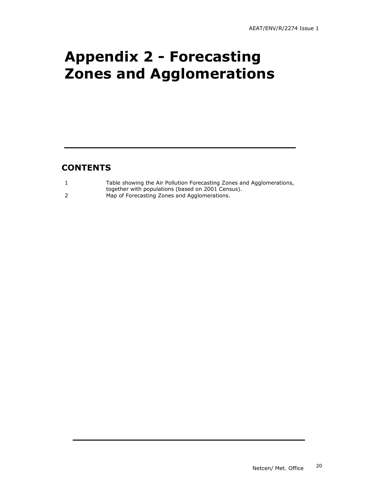## Appendix 2 - Forecasting Zones and Agglomerations

### **CONTENTS**

| Table showing the Air Pollution Forecasting Zones and Agglomerations, |
|-----------------------------------------------------------------------|
| together with populations (based on 2001 Census).                     |
| Map of Forecasting Zones and Agglomerations.                          |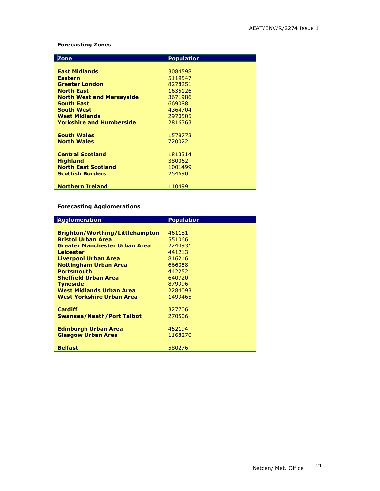### Forecasting Zones

| <b>Zone</b>                      | <b>Population</b> |
|----------------------------------|-------------------|
|                                  |                   |
| <b>East Midlands</b>             | 3084598           |
| <b>Eastern</b>                   | 5119547           |
| <b>Greater London</b>            | 8278251           |
| <b>North East</b>                | 1635126           |
|                                  |                   |
| <b>North West and Merseyside</b> | 3671986           |
| <b>South East</b>                | 6690881           |
| <b>South West</b>                | 4364704           |
| <b>West Midlands</b>             | 2970505           |
| <b>Yorkshire and Humberside</b>  | 2816363           |
|                                  |                   |
| <b>South Wales</b>               | 1578773           |
| <b>North Wales</b>               | 720022            |
|                                  |                   |
| <b>Central Scotland</b>          | 1813314           |
| <b>Highland</b>                  | 380062            |
| <b>North East Scotland</b>       | 1001499           |
| <b>Scottish Borders</b>          | 254690            |
|                                  |                   |
| <b>Northern Ireland</b>          | 1104991           |

#### Forecasting Agglomerations

| <b>Agglomeration</b>                   | <b>Population</b> |
|----------------------------------------|-------------------|
|                                        |                   |
| <b>Brighton/Worthing/Littlehampton</b> | 461181            |
| <b>Bristol Urban Area</b>              | 551066            |
| <b>Greater Manchester Urban Area</b>   | 2244931           |
| <b>Leicester</b>                       | 441213            |
| <b>Liverpool Urban Area</b>            | 816216            |
| <b>Nottingham Urban Area</b>           | 666358            |
| <b>Portsmouth</b>                      | 442252            |
| <b>Sheffield Urban Area</b>            | 640720            |
| <b>Tyneside</b>                        | 879996            |
| West Midlands Urban Area               | 2284093           |
| West Yorkshire Urban Area              | 1499465           |
|                                        |                   |
| <b>Cardiff</b>                         | 327706            |
| Swansea/Neath/Port Talbot              | 270506            |
|                                        |                   |
| <b>Edinburgh Urban Area</b>            | 452194            |
| <b>Glasgow Urban Area</b>              | 1168270           |
|                                        |                   |
| <b>Belfast</b>                         | 580276            |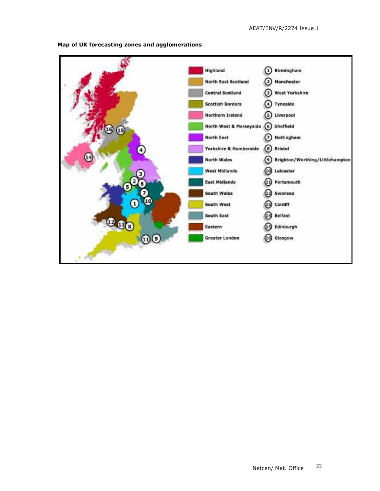

Map of UK forecasting zones and agglomerations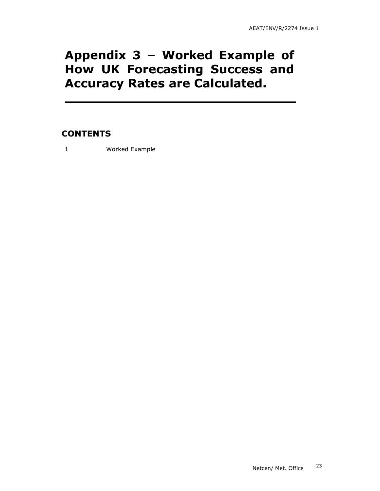### Appendix 3 – Worked Example of How UK Forecasting Success and Accuracy Rates are Calculated.

### **CONTENTS**

1 Worked Example